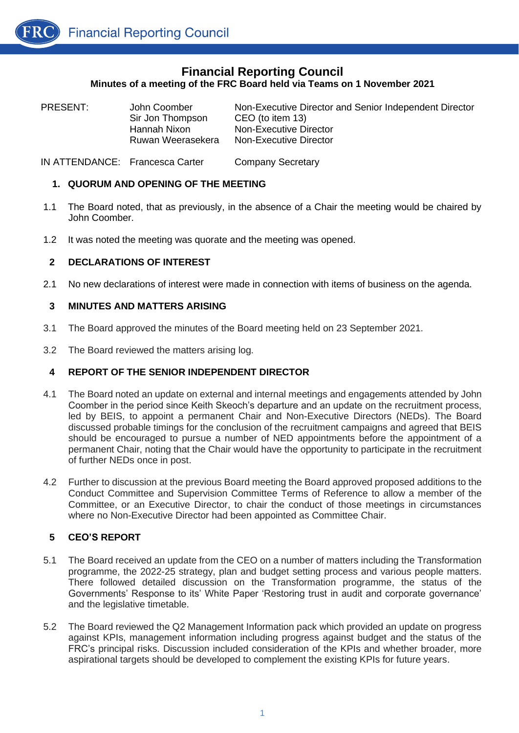

| PRESENT: | John Coomber<br>Sir Jon Thompson<br>Hannah Nixon<br>Ruwan Weerasekera | Non-Executive Director and Senior Independent Director<br>CEO (to item 13)<br>Non-Executive Director<br>Non-Executive Director |
|----------|-----------------------------------------------------------------------|--------------------------------------------------------------------------------------------------------------------------------|
|          |                                                                       |                                                                                                                                |

IN ATTENDANCE: Francesca Carter Company Secretary

# **1. QUORUM AND OPENING OF THE MEETING**

- 1.1 The Board noted, that as previously, in the absence of a Chair the meeting would be chaired by John Coomber.
- 1.2 It was noted the meeting was quorate and the meeting was opened.

# **2 DECLARATIONS OF INTEREST**

2.1 No new declarations of interest were made in connection with items of business on the agenda.

# **3 MINUTES AND MATTERS ARISING**

- 3.1 The Board approved the minutes of the Board meeting held on 23 September 2021.
- 3.2 The Board reviewed the matters arising log.

# **4 REPORT OF THE SENIOR INDEPENDENT DIRECTOR**

- 4.1 The Board noted an update on external and internal meetings and engagements attended by John Coomber in the period since Keith Skeoch's departure and an update on the recruitment process, led by BEIS, to appoint a permanent Chair and Non-Executive Directors (NEDs). The Board discussed probable timings for the conclusion of the recruitment campaigns and agreed that BEIS should be encouraged to pursue a number of NED appointments before the appointment of a permanent Chair, noting that the Chair would have the opportunity to participate in the recruitment of further NEDs once in post.
- 4.2 Further to discussion at the previous Board meeting the Board approved proposed additions to the Conduct Committee and Supervision Committee Terms of Reference to allow a member of the Committee, or an Executive Director, to chair the conduct of those meetings in circumstances where no Non-Executive Director had been appointed as Committee Chair.

# **5 CEO'S REPORT**

- 5.1 The Board received an update from the CEO on a number of matters including the Transformation programme, the 2022-25 strategy, plan and budget setting process and various people matters. There followed detailed discussion on the Transformation programme, the status of the Governments' Response to its' White Paper 'Restoring trust in audit and corporate governance' and the legislative timetable.
- 5.2 The Board reviewed the Q2 Management Information pack which provided an update on progress against KPIs, management information including progress against budget and the status of the FRC's principal risks. Discussion included consideration of the KPIs and whether broader, more aspirational targets should be developed to complement the existing KPIs for future years.